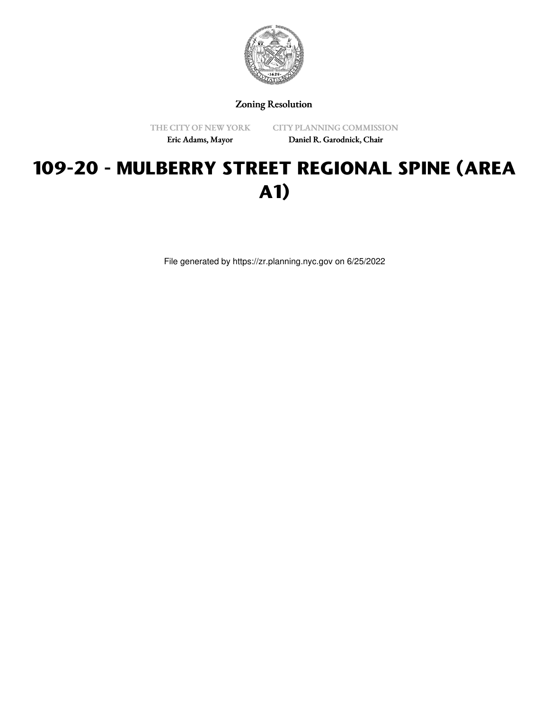

Zoning Resolution

THE CITY OF NEW YORK

CITY PLANNING COMMISSION

Eric Adams, Mayor

Daniel R. Garodnick, Chair

# **109-20 - MULBERRY STREET REGIONAL SPINE (AREA A1)**

File generated by https://zr.planning.nyc.gov on 6/25/2022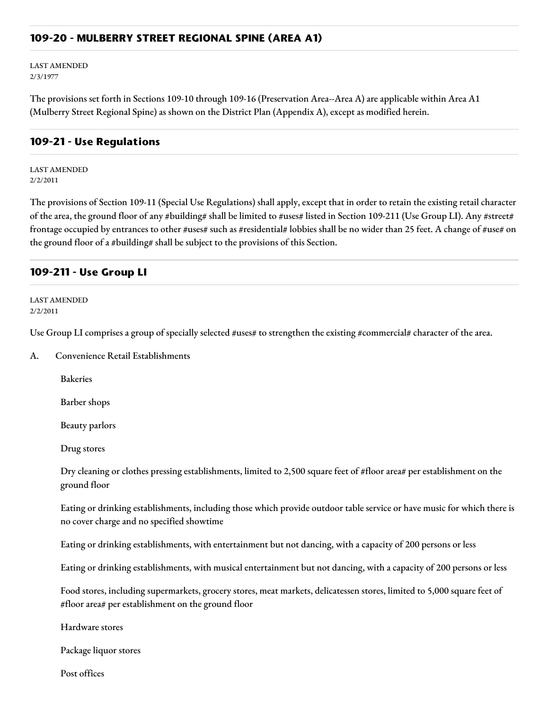#### **109-20 - MULBERRY STREET REGIONAL SPINE (AREA A1)**

LAST AMENDED 2/3/1977

The provisions set forth in Sections 109-10 through 109-16 (Preservation Area--Area A) are applicable within Area A1 (Mulberry Street Regional Spine) as shown on the District Plan (Appendix A), except as modified herein.

#### **109-21 - Use Regulations**

LAST AMENDED 2/2/2011

The provisions of Section 109-11 (Special Use Regulations) shall apply, except that in order to retain the existing retail character of the area, the ground floor of any #building# shall be limited to #uses# listed in Section 109-211 (Use Group LI). Any #street# frontage occupied by entrances to other #uses# such as #residential# lobbies shall be no wider than 25 feet. A change of #use# on the ground floor of a #building# shall be subject to the provisions of this Section.

### **109-211 - Use Group LI**

LAST AMENDED 2/2/2011

Use Group LI comprises a group of specially selected #uses# to strengthen the existing #commercial# character of the area.

A. Convenience Retail Establishments

Bakeries

Barber shops

Beauty parlors

Drug stores

Dry cleaning or clothes pressing establishments, limited to 2,500 square feet of #floor area# per establishment on the ground floor

Eating or drinking establishments, including those which provide outdoor table service or have music for which there is no cover charge and no specified showtime

Eating or drinking establishments, with entertainment but not dancing, with a capacity of 200 persons or less

Eating or drinking establishments, with musical entertainment but not dancing, with a capacity of 200 persons or less

Food stores, including supermarkets, grocery stores, meat markets, delicatessen stores, limited to 5,000 square feet of #floor area# per establishment on the ground floor

Hardware stores

Package liquor stores

Post offices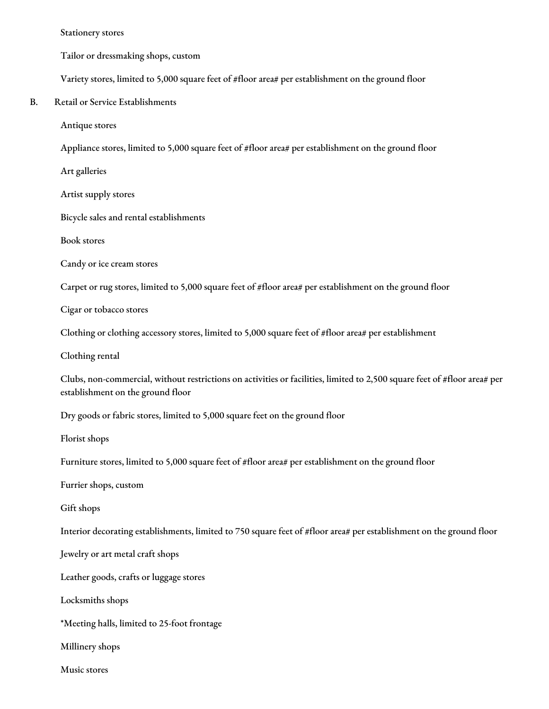Stationery stores

Tailor or dressmaking shops, custom

Variety stores, limited to 5,000 square feet of #floor area# per establishment on the ground floor

B. Retail or Service Establishments

Antique stores

Appliance stores, limited to 5,000 square feet of #floor area# per establishment on the ground floor

Art galleries

Artist supply stores

Bicycle sales and rental establishments

Book stores

Candy or ice cream stores

Carpet or rug stores, limited to 5,000 square feet of #floor area# per establishment on the ground floor

Cigar or tobacco stores

Clothing or clothing accessory stores, limited to 5,000 square feet of #floor area# per establishment

Clothing rental

Clubs, non-commercial, without restrictions on activities or facilities, limited to 2,500 square feet of #floor area# per establishment on the ground floor

Dry goods or fabric stores, limited to 5,000 square feet on the ground floor

Florist shops

Furniture stores, limited to 5,000 square feet of #floor area# per establishment on the ground floor

Furrier shops, custom

Gift shops

Interior decorating establishments, limited to 750 square feet of #floor area# per establishment on the ground floor

Jewelry or art metal craft shops

Leather goods, crafts or luggage stores

Locksmiths shops

\*Meeting halls, limited to 25-foot frontage

Millinery shops

Music stores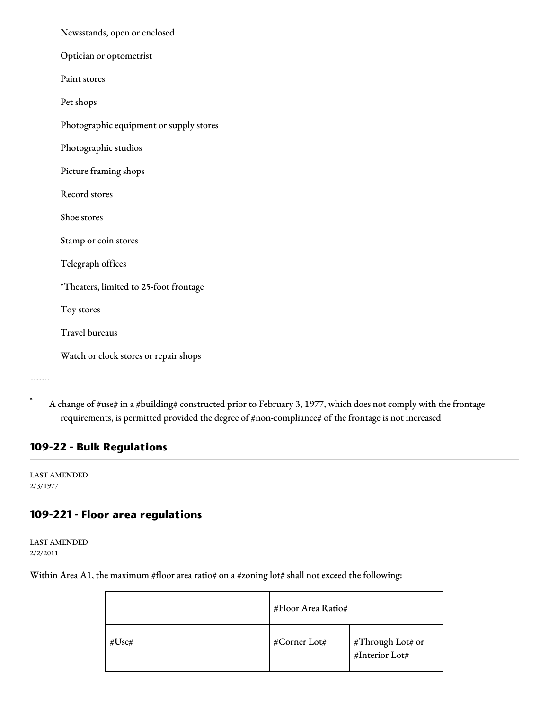| Newsstands, open or enclosed            |  |  |  |
|-----------------------------------------|--|--|--|
| Optician or optometrist                 |  |  |  |
| Paint stores                            |  |  |  |
| Pet shops                               |  |  |  |
| Photographic equipment or supply stores |  |  |  |
| Photographic studios                    |  |  |  |
| Picture framing shops                   |  |  |  |
| <b>Record stores</b>                    |  |  |  |
| Shoe stores                             |  |  |  |
| Stamp or coin stores                    |  |  |  |
| Telegraph offices                       |  |  |  |
| *Theaters, limited to 25-foot frontage  |  |  |  |
| Toy stores                              |  |  |  |
| <b>Travel bureaus</b>                   |  |  |  |
| Watch or clock stores or repair shops   |  |  |  |
|                                         |  |  |  |

A change of #use# in a #building# constructed prior to February 3, 1977, which does not comply with the frontage requirements, is permitted provided the degree of #non-compliance# of the frontage is not increased

# **109-22 - Bulk Regulations**

LAST AMENDED 2/3/1977

-------

## **109-221 - Floor area regulations**

LAST AMENDED 2/2/2011

Within Area A1, the maximum #floor area ratio# on a #zoning lot# shall not exceed the following:

|       | #Floor Area Ratio# |                                    |
|-------|--------------------|------------------------------------|
| #Use# | #Corner Lot#       | #Through Lot# or<br>#Interior Lot# |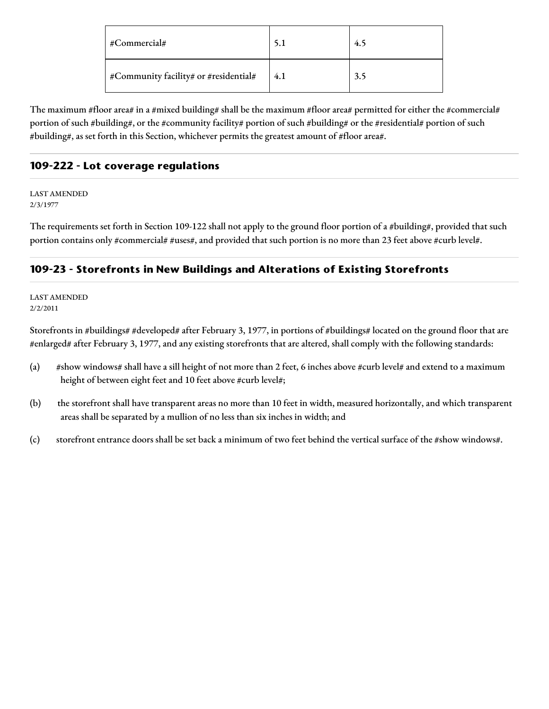| #Commercial#                          | 5.1 | 4.5 |
|---------------------------------------|-----|-----|
| #Community facility# or #residential# | 4.1 | 3.5 |

The maximum #floor area# in a #mixed building# shall be the maximum #floor area# permitted for either the #commercial# portion of such #building#, or the #community facility# portion of such #building# or the #residential# portion of such #building#, as set forth in this Section, whichever permits the greatest amount of #floor area#.

# **109-222 - Lot coverage regulations**

LAST AMENDED 2/3/1977

The requirements set forth in Section 109-122 shall not apply to the ground floor portion of a #building#, provided that such portion contains only #commercial# #uses#, and provided that such portion is no more than 23 feet above #curb level#.

# **109-23 - Storefronts in New Buildings and Alterations of Existing Storefronts**

LAST AMENDED 2/2/2011

Storefronts in #buildings# #developed# after February 3, 1977, in portions of #buildings# located on the ground floor that are #enlarged# after February 3, 1977, and any existing storefronts that are altered, shall comply with the following standards:

- (a) #show windows# shall have a sill height of not more than 2 feet, 6 inches above #curb level# and extend to a maximum height of between eight feet and 10 feet above #curb level#;
- (b) the storefront shall have transparent areas no more than 10 feet in width, measured horizontally, and which transparent areas shall be separated by a mullion of no less than six inches in width; and
- (c) storefront entrance doors shall be set back a minimum of two feet behind the vertical surface of the #show windows#.